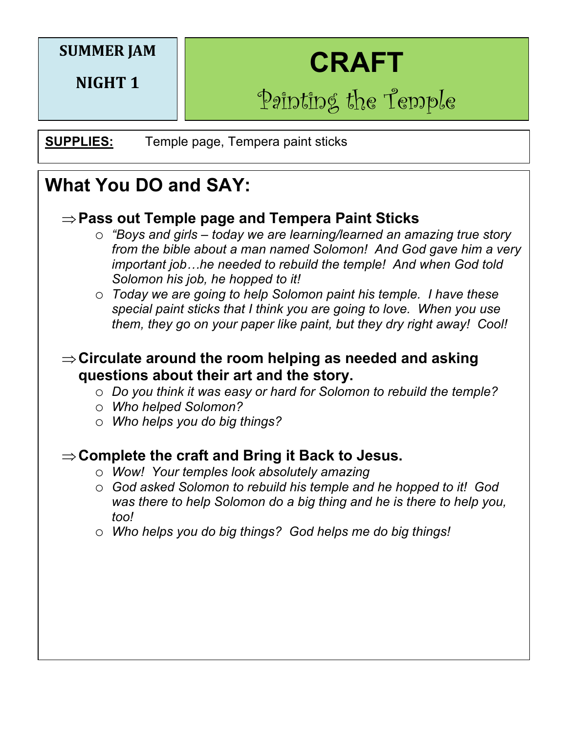#### **SUMMER JAM**

**NIGHT 1** 

# **CRAFT**

## Painting the Temple

**SUPPLIES:** Temple page, Tempera paint sticks

### **What You DO and SAY:**

#### $\Rightarrow$  **Pass out Temple page and Tempera Paint Sticks**

- o *"Boys and girls – today we are learning/learned an amazing true story from the bible about a man named Solomon! And God gave him a very important job…he needed to rebuild the temple! And when God told Solomon his job, he hopped to it!*
- o *Today we are going to help Solomon paint his temple. I have these special paint sticks that I think you are going to love. When you use them, they go on your paper like paint, but they dry right away! Cool!*

#### $\Rightarrow$  **Circulate around the room helping as needed and asking questions about their art and the story.**

- o *Do you think it was easy or hard for Solomon to rebuild the temple?*
- o *Who helped Solomon?*
- o *Who helps you do big things?*

#### $\Rightarrow$  **Complete the craft and Bring it Back to Jesus.**

- o *Wow! Your temples look absolutely amazing*
- o *God asked Solomon to rebuild his temple and he hopped to it! God was there to help Solomon do a big thing and he is there to help you, too!*
- o *Who helps you do big things? God helps me do big things!*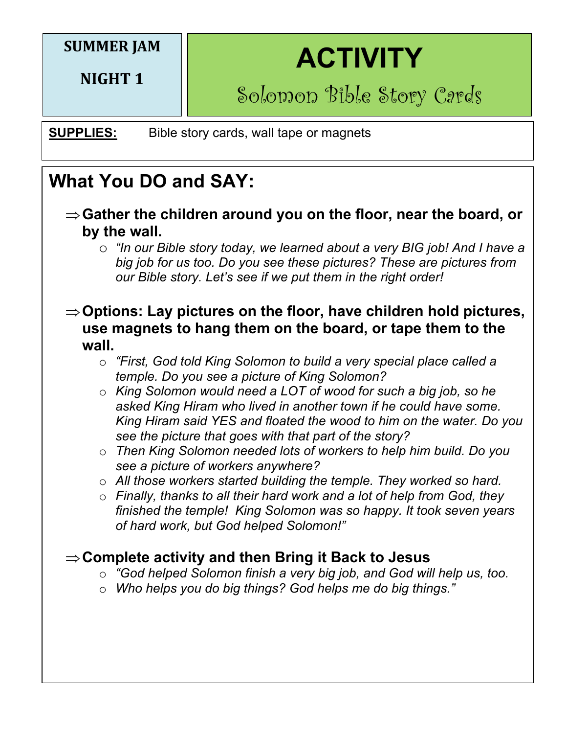#### **SUMMER JAM**

**NIGHT 1** 

**ACTIVITY**

Solomon Bible Story Cards

**SUPPLIES:** Bible story cards, wall tape or magnets

## **What You DO and SAY:**

- $\Rightarrow$  **Gather the children around you on the floor, near the board, or by the wall.**
	- o *"In our Bible story today, we learned about a very BIG job! And I have a big job for us too. Do you see these pictures? These are pictures from our Bible story. Let's see if we put them in the right order!*

#### $\Rightarrow$  **Options: Lay pictures on the floor, have children hold pictures, use magnets to hang them on the board, or tape them to the wall. Big Idea:**

- o *"First, God told King Solomon to build a very special place called a*  temple. Do you see a picture of King Solomon?
	- o *King Solomon would need a LOT of wood for such a big job, so he asked King Hiram who lived in another town if he could have some. King Hiram said YES and floated the wood to him on the water. Do you see the picture that goes with that part of the story?*
	- o *Then King Solomon needed lots of workers to help him build. Do you see a picture of workers anywhere?*
	- o *All those workers started building the temple. They worked so hard.*
- $\circ$  Finally, thanks to all their hard work and a lot of help from God, they *finished the temple! King Solomon was so happy. It took seven years of hard work, but God helped Solomon!"*

#### Þ**Complete activity and then Bring it Back to Jesus**

- o *"God helped Solomon finish a very big job, and God will help us, too.*
- o *Who helps you do big things? God helps me do big things."*